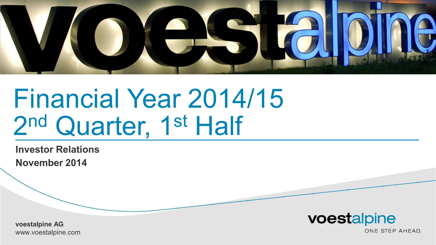

# Financial Year 2014/15 2<sup>nd</sup> Quarter, 1st Half

**Investor Relations November 2014**

voestalpine

**voestalpine AG voestalpine AG** www.voestalpine.com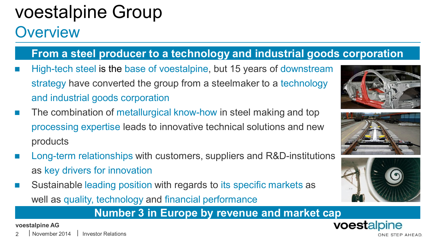# voestalpine Group

### **Overview**

### **From a steel producer to a technology and industrial goods corporation**

- High-tech steel is the base of voestalpine, but 15 years of downstream strategy have converted the group from a steelmaker to a technology and industrial goods corporation
- The combination of metallurgical know-how in steel making and top processing expertise leads to innovative technical solutions and new products
- Long-term relationships with customers, suppliers and R&D-institutions as key drivers for innovation
- Sustainable leading position with regards to its specific markets as well as quality, technology and financial performance

### **Number 3 in Europe by revenue and market cap**

**voestalpine AG**

November 2014







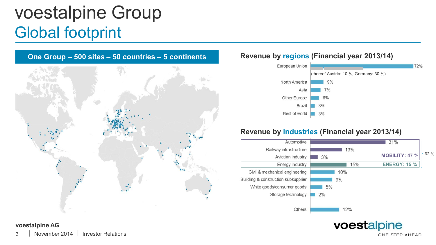## voestalpine Group Global footprint



#### **Revenue by regions (Financial year 2013/14)**



#### **Revenue by industries (Financial year 2013/14)**



voestalpine

### **voestalpine AG**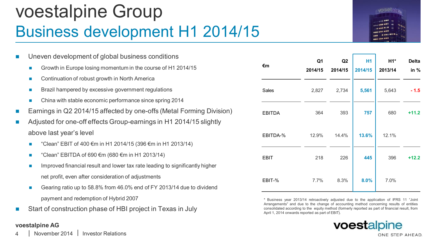### voestalpine Group Business development H1 2014/15



| П                           | Uneven development of global business conditions |                                                                              |  |  |  |  |  |  |  |  |  |  |
|-----------------------------|--------------------------------------------------|------------------------------------------------------------------------------|--|--|--|--|--|--|--|--|--|--|
|                             | <b>COL</b>                                       | Growth in Europe losing momentum in the course of H1 2014/15                 |  |  |  |  |  |  |  |  |  |  |
|                             | П                                                | Continuation of robust growth in North America                               |  |  |  |  |  |  |  |  |  |  |
|                             | m.                                               | Brazil hampered by excessive government regulations                          |  |  |  |  |  |  |  |  |  |  |
|                             | <b>COL</b>                                       | China with stable economic performance since spring 2014                     |  |  |  |  |  |  |  |  |  |  |
| $\mathcal{L}_{\mathcal{A}}$ |                                                  | Earnings in Q2 2014/15 affected by one-offs (Metal Forming Division)         |  |  |  |  |  |  |  |  |  |  |
| $\mathcal{L}_{\mathcal{A}}$ |                                                  | Adjusted for one-off effects Group-earnings in H1 2014/15 slightly           |  |  |  |  |  |  |  |  |  |  |
|                             |                                                  | above last year's level                                                      |  |  |  |  |  |  |  |  |  |  |
|                             | П                                                | "Clean" EBIT of 400 €m in H1 2014/15 (396 €m in H1 2013/14)                  |  |  |  |  |  |  |  |  |  |  |
|                             | <b>In</b>                                        | "Clean" EBITDA of 690 €m (680 €m in H1 2013/14)                              |  |  |  |  |  |  |  |  |  |  |
|                             | a.                                               | Improved financial result and lower tax rate leading to significantly higher |  |  |  |  |  |  |  |  |  |  |
|                             |                                                  | net profit, even after consideration of adjustments                          |  |  |  |  |  |  |  |  |  |  |
|                             | o,                                               | Gearing ratio up to 58.8% from 46.0% end of FY 2013/14 due to dividend       |  |  |  |  |  |  |  |  |  |  |
|                             |                                                  | payment and redemption of Hybrid 2007                                        |  |  |  |  |  |  |  |  |  |  |

Start of construction phase of HBI project in Texas in July

#### **voestalpine AG**

| €m            | Q1      | Q <sub>2</sub> | H <sub>1</sub> | $H1*$   | <b>Delta</b> |
|---------------|---------|----------------|----------------|---------|--------------|
|               | 2014/15 | 2014/15        | 2014/15        | 2013/14 | in $%$       |
| <b>Sales</b>  | 2,827   | 2,734          | 5,561          | 5,643   | $-1.5$       |
| <b>EBITDA</b> | 364     | 393            | 757            | 680     | $+11.2$      |
| EBITDA-%      | 12.9%   | 14.4%          | 13.6%          | 12.1%   |              |
| EBIT          | 218     | 226            | 445            | 396     | $+12.2$      |
| EBIT-%        | 7.7%    | 8.3%           | 8.0%           | 7.0%    |              |

\* Business year 2013/14 retroactively adjusted due to the application of IFRS 11 "Joint Arrangements" and due to the change of accounting method concerning results of entities consolidated according to the equity method (formerly reported as part of financial result, from April 1, 2014 onwards reported as part of EBIT).

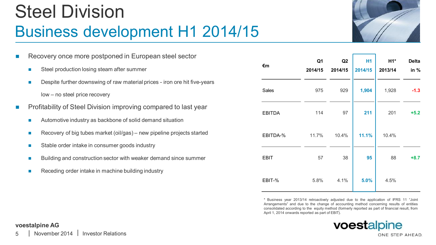### Steel Division Business development H1 2014/15



**Delta in %**

|                                                                 | Recovery once more postponed in European steel sector                      |               | Q <sub>1</sub> | Q2      | <b>H1</b> | $H1*$   | <b>Delta</b> |
|-----------------------------------------------------------------|----------------------------------------------------------------------------|---------------|----------------|---------|-----------|---------|--------------|
| <b>College</b>                                                  | Steel production losing steam after summer                                 | €m            | 2014/15        | 2014/15 | 2014/15   | 2013/14 | in $%$       |
| <b>COL</b>                                                      | Despite further downswing of raw material prices - iron ore hit five-years |               | 975            |         |           |         |              |
|                                                                 | low – no steel price recovery                                              | Sales         |                | 929     | 1,904     | 1,928   | $-1.3$       |
| Profitability of Steel Division improving compared to last year |                                                                            | <b>EBITDA</b> | 114            | 97      | 211       | 201     | $+5.2$       |
| $\mathcal{L}_{\mathcal{A}}$                                     | Automotive industry as backbone of solid demand situation                  |               |                |         |           |         |              |
| <b>College</b>                                                  | Recovery of big tubes market (oil/gas) – new pipeline projects started     | EBITDA-%      | 11.7%          | 10.4%   | 11.1%     | 10.4%   |              |
| <b>College</b>                                                  | Stable order intake in consumer goods industry                             |               |                |         |           |         |              |
| <b>COL</b>                                                      | Building and construction sector with weaker demand since summer           | <b>EBIT</b>   | 57             | 38      | 95        | 88      | $+8.7$       |
|                                                                 |                                                                            |               |                |         |           |         |              |

Receding order intake in machine building industry

\* Business year 2013/14 retroactively adjusted due to the application of IFRS 11 "Joint Arrangements" and due to the change of accounting method concerning results of entities consolidated according to the equity method (formerly reported as part of financial result, from April 1, 2014 onwards reported as part of EBIT). EBIT-% 5.8% 4.1% **5.0%** 4.5%



#### **voestalpine AG**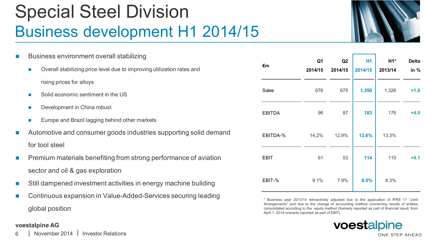### Special Steel Division Business development H1 2014/15



|   | Business environment overall stabilizing                                             |               | Q <sub>1</sub> | Q2      | H1      | $H1*$   | <b>Delta</b> |
|---|--------------------------------------------------------------------------------------|---------------|----------------|---------|---------|---------|--------------|
|   | Overall stabilizing price level due to improving utilization rates and<br><b>COL</b> | €m            | 2014/15        | 2014/15 | 2014/15 | 2013/14 | in $%$       |
|   | rising prices for alloys                                                             |               |                |         |         |         |              |
|   | Solid economic sentiment in the US<br><b>COL</b>                                     | Sales         | 676            | 675     | 1,350   | 1,326   | $+1.8$       |
|   | Development in China robust<br><b>COL</b>                                            | <b>EBITDA</b> | 96             | 87      | 183     | 176     | $+4.0$       |
|   | Europe and Brazil lagging behind other markets<br><b>In</b>                          |               |                |         |         |         |              |
|   | Automotive and consumer goods industries supporting solid demand                     | EBITDA-%      | 14.2%          | 12.9%   | 13.6%   | 13.3%   |              |
|   | for tool steel                                                                       |               |                |         |         |         |              |
| П | Premium materials benefiting from strong performance of aviation                     | <b>EBIT</b>   | 61             | 53      | 114     | 110     | $+4.1$       |
|   | sector and oil & gas exploration                                                     |               |                |         |         |         |              |
|   | Still dampened investment activities in energy machine building                      | EBIT-%        | 9.1%           | 7.9%    | 8.5%    | 8.3%    |              |

Continuous expansion in Value-Added-Services securing leading global position

#### **voestalpine AG**

\* Business year 2013/14 retroactively adjusted due to the application of IFRS 11 "Joint Arrangements" and due to the change of accounting method concerning results of entities consolidated according to the equity method (formerly reported as part of financial result, from April 1, 2014 onwards reported as part of EBIT).

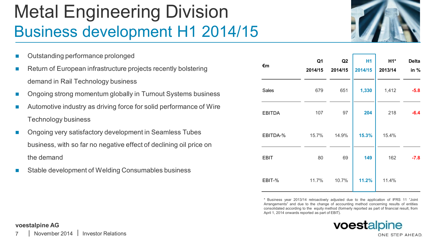# Metal Engineering Division Business development H1 2014/15

- Outstanding performance prolonged
- Return of European infrastructure projects recently bolstering demand in Rail Technology business
- n Ongoing strong momentum globally in Turnout Systems business
- Automotive industry as driving force for solid performance of Wire Technology business
- n Ongoing very satisfactory development in Seamless Tubes business, with so far no negative effect of declining oil price on the demand
- Stable development of Welding Consumables business



| €m            | Q1<br>2014/15 | Q <sub>2</sub><br>2014/15 | <b>H1</b><br>2014/15 | H1*<br>2013/14 | <b>Delta</b><br>in % |
|---------------|---------------|---------------------------|----------------------|----------------|----------------------|
| Sales         | 679           | 651                       | 1,330                | 1,412          | $-5.8$               |
| <b>EBITDA</b> | 107           | 97                        | 204                  | 218            | $-6.4$               |
| EBITDA-%      | 15.7%         | 14.9%                     | 15.3%                | 15.4%          |                      |
| <b>EBIT</b>   | 80            | 69                        | 149                  | 162            | $-7.8$               |
| EBIT-%        | 11.7%         | 10.7%                     | 11.2%                | 11.4%          |                      |

\* Business year 2013/14 retroactively adjusted due to the application of IFRS 11 "Joint Arrangements" and due to the change of accounting method concerning results of entities consolidated according to the equity method (formerly reported as part of financial result, from April 1, 2014 onwards reported as part of EBIT).



#### **voestalpine AG**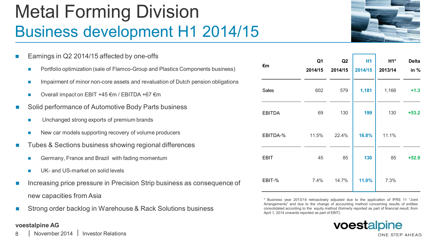### Metal Forming Division Business development H1 2014/15

- Earnings in Q2 2014/15 affected by one-offs Portfolio optimization (sale of Flamco-Group and Plastics Components business) Impairment of minor non-core assets and revaluation of Dutch pension obligations Overall impact on EBIT +45 €m / EBITDA +67 €m Solid performance of Automotive Body Parts business Unchanged strong exports of premium brands New car models supporting recovery of volume producers Tubes & Sections business showing regional differences Germany, France and Brazil with fading momentum UK- and US-market on solid levels Increasing price pressure in Precision Strip business as consequence of new capacities from Asia
- Strong order backlog in Warehouse & Rack Solutions business

#### **voestalpine AG**



| €m            | Q1      | Q <sub>2</sub> | H <sub>1</sub> | $H1*$   | <b>Delta</b> |  |
|---------------|---------|----------------|----------------|---------|--------------|--|
|               | 2014/15 | 2014/15        | 2014/15        | 2013/14 | in %         |  |
| Sales         | 602     | 579            | 1,181          | 1,166   | $+1.3$       |  |
| <b>EBITDA</b> | 69      | 130            | 199            | 130     | $+53.2$      |  |
| EBITDA-%      | 11.5%   | 22.4%          | 16.8%          | 11.1%   |              |  |
| <b>EBIT</b>   | 45      | 85             | 130            | 85      | $+52.9$      |  |
| EBIT-%        | 7.4%    | 14.7%          | 11.0%          | 7.3%    |              |  |

\* Business year 2013/14 retroactively adjusted due to the application of IFRS 11 "Joint Arrangements" and due to the change of accounting method concerning results of entities consolidated according to the equity method (formerly reported as part of financial result, from April 1, 2014 onwards reported as part of EBIT).

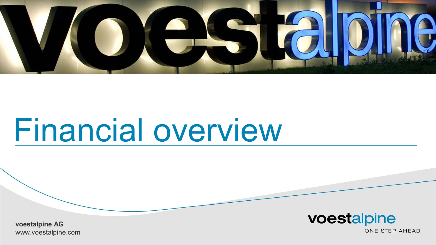

# Financial overview

voestalpine

**voestalpine AG voestalpine AG** www.voestalpine.com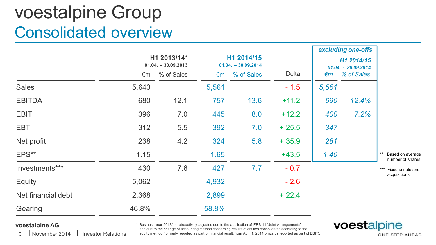### voestalpine Group Consolidated overview

|                    |       | H1 2013/14*<br>$01.04. - 30.09.2013$ |       | H1 2014/15<br>$01.04. - 30.09.2014$ |         |       | excluding one-offs<br>H1 2014/15<br>01.04. - 30.09.2014 |                                      |
|--------------------|-------|--------------------------------------|-------|-------------------------------------|---------|-------|---------------------------------------------------------|--------------------------------------|
|                    | €m    | % of Sales                           | €m    | % of Sales                          | Delta   | €m    | % of Sales                                              |                                      |
| <b>Sales</b>       | 5,643 |                                      | 5,561 |                                     | $-1.5$  | 5,561 |                                                         |                                      |
| <b>EBITDA</b>      | 680   | 12.1                                 | 757   | 13.6                                | $+11.2$ | 690   | 12.4%                                                   |                                      |
| <b>EBIT</b>        | 396   | 7.0                                  | 445   | 8.0                                 | $+12.2$ | 400   | 7.2%                                                    |                                      |
| EBT                | 312   | 5.5                                  | 392   | 7.0                                 | $+25.5$ | 347   |                                                         |                                      |
| Net profit         | 238   | 4.2                                  | 324   | 5.8                                 | $+35.9$ | 281   |                                                         |                                      |
| EPS**              | 1.15  |                                      | 1.65  |                                     | $+43,5$ | 1.40  |                                                         | Based on average<br>number of shares |
| Investments***     | 430   | 7.6                                  | 427   | 7.7                                 | $-0.7$  |       |                                                         | ***<br>Fixed assets and              |
| Equity             | 5,062 |                                      | 4,932 |                                     | $-2.6$  |       |                                                         | acquisitions                         |
| Net financial debt | 2,368 |                                      | 2,899 |                                     | $+22.4$ |       |                                                         |                                      |
| Gearing            | 46.8% |                                      | 58.8% |                                     |         |       |                                                         |                                      |

#### **voestalpine AG**

10 | November 2014 | Investor Relations \* Business year 2013/14 retroactively adjusted due to the application of IFRS 11 "Joint Arrangements" and due to the change of accounting method concerning results of entities consolidated according to the equity method (formerly reported as part of financial result, from April 1, 2014 onwards reported as part of EBIT).

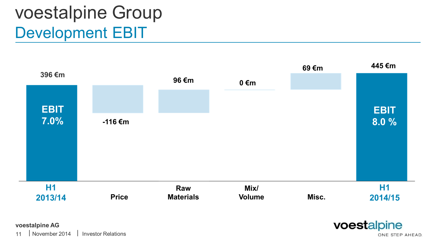# voestalpine Group Development EBIT



voestalpine ONE STEP AHEAD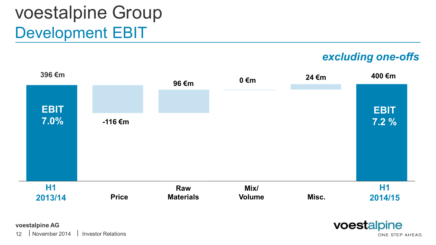# voestalpine Group Development EBIT

*excluding one-offs*



**voestalpine AG**

voestalpine ONE STEP AHEAD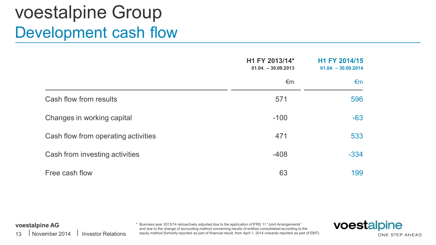### voestalpine Group Development cash flow

|                                     | H1 FY 2013/14*<br>$01.04. - 30.09.2013$ | H1 FY 2014/15<br>$01.04. - 30.09.2014$ |
|-------------------------------------|-----------------------------------------|----------------------------------------|
|                                     | €m                                      | €m                                     |
| Cash flow from results              | 571                                     | 596                                    |
| Changes in working capital          | $-100$                                  | $-63$                                  |
| Cash flow from operating activities | 471                                     | 533                                    |
| Cash from investing activities      | $-408$                                  | $-334$                                 |
| Free cash flow                      | 63                                      | 199                                    |

#### **voestalpine AG**

13 | November 2014 | Investor Relations \* Business year 2013/14 retroactively adjusted due to the application of IFRS 11 "Joint Arrangements" and due to the change of accounting method concerning results of entities consolidated according to the equity method (formerly reported as part of financial result, from April 1, 2014 onwards reported as part of EBIT).

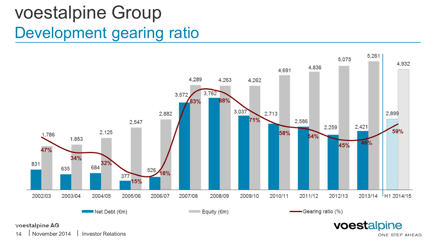## voestalpine Group Development gearing ratio



#### **voestalpine AG**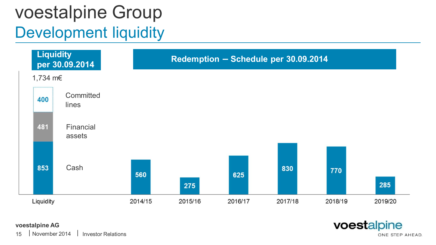# voestalpine Group Development liquidity



#### **voestalpine AG**

| | 15 November 2014 Investor Relations voestalpine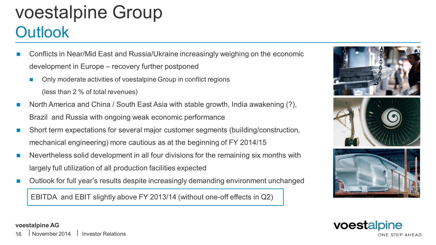### voestalpine Group **Outlook**

- Conflicts in Near/Mid East and Russia/Ukraine increasingly weighing on the economic development in Europe – recovery further postponed
	- Only moderate activities of voestalpine Group in conflict regions
		- (less than 2 % of total revenues)
- n North America and China / South East Asia with stable growth, India awakening (?), Brazil and Russia with ongoing weak economic performance
- Short term expectations for several major customer segments (building/construction, mechanical engineering) more cautious as at the beginning of FY 2014/15
- n Nevertheless solid development in all four divisions for the remaining six months with largely full utilization of all production facilities expected
- Outlook for full year's results despite increasingly demanding environment unchanged

EBITDA and EBIT slightly above FY 2013/14 (without one-off effects in Q2)